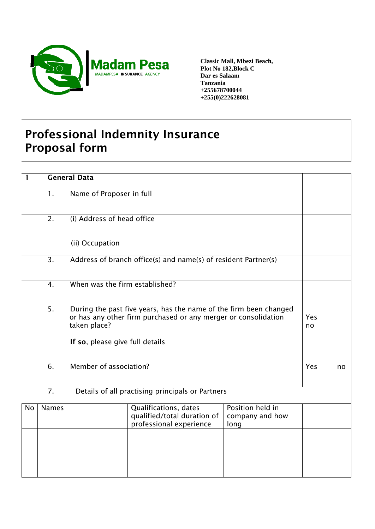

**Classic Mall, Mbezi Beach, Plot No 182,Block C Dar es Salaam Tanzania +255678700044 +255(0)222628081**

## Professional Indemnity Insurance Proposal form

|                  |                                                                                                                                                                                              | <b>General Data</b>                              |                                                                                 |                                             |           |    |
|------------------|----------------------------------------------------------------------------------------------------------------------------------------------------------------------------------------------|--------------------------------------------------|---------------------------------------------------------------------------------|---------------------------------------------|-----------|----|
|                  | 1.                                                                                                                                                                                           | Name of Proposer in full                         |                                                                                 |                                             |           |    |
|                  | 2.                                                                                                                                                                                           | (i) Address of head office                       |                                                                                 |                                             |           |    |
|                  |                                                                                                                                                                                              | (ii) Occupation                                  |                                                                                 |                                             |           |    |
|                  | Address of branch office(s) and name(s) of resident Partner(s)<br>3.                                                                                                                         |                                                  |                                                                                 |                                             |           |    |
|                  | When was the firm established?<br>4.                                                                                                                                                         |                                                  |                                                                                 |                                             |           |    |
|                  | During the past five years, has the name of the firm been changed<br>5.<br>or has any other firm purchased or any merger or consolidation<br>taken place?<br>If so, please give full details |                                                  |                                                                                 |                                             | Yes<br>no |    |
|                  | Member of association?<br>6.                                                                                                                                                                 |                                                  |                                                                                 |                                             | Yes       | no |
| $\overline{7}$ . |                                                                                                                                                                                              | Details of all practising principals or Partners |                                                                                 |                                             |           |    |
| No               | <b>Names</b>                                                                                                                                                                                 |                                                  | Qualifications, dates<br>qualified/total duration of<br>professional experience | Position held in<br>company and how<br>long |           |    |
|                  |                                                                                                                                                                                              |                                                  |                                                                                 |                                             |           |    |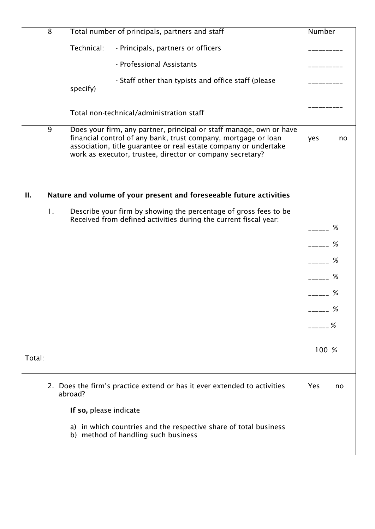|        | 8                                                                   | Total number of principals, partners and staff                                                                                                                                                                                                                         | Number                         |  |
|--------|---------------------------------------------------------------------|------------------------------------------------------------------------------------------------------------------------------------------------------------------------------------------------------------------------------------------------------------------------|--------------------------------|--|
|        |                                                                     | Technical:<br>- Principals, partners or officers                                                                                                                                                                                                                       |                                |  |
|        |                                                                     | - Professional Assistants                                                                                                                                                                                                                                              |                                |  |
|        |                                                                     | - Staff other than typists and office staff (please<br>specify)                                                                                                                                                                                                        |                                |  |
|        |                                                                     | Total non-technical/administration staff                                                                                                                                                                                                                               |                                |  |
|        | 9                                                                   | Does your firm, any partner, principal or staff manage, own or have<br>financial control of any bank, trust company, mortgage or loan<br>association, title guarantee or real estate company or undertake<br>work as executor, trustee, director or company secretary? | yes<br>no                      |  |
| П.     | Nature and volume of your present and foreseeable future activities |                                                                                                                                                                                                                                                                        |                                |  |
| Total: | 1.                                                                  | Describe your firm by showing the percentage of gross fees to be<br>Received from defined activities during the current fiscal year:                                                                                                                                   | %<br>%<br>%<br>%<br>%<br>100 % |  |
|        |                                                                     | 2. Does the firm's practice extend or has it ever extended to activities<br>abroad?                                                                                                                                                                                    | Yes<br>no                      |  |
|        |                                                                     | If so, please indicate                                                                                                                                                                                                                                                 |                                |  |
|        |                                                                     | a) in which countries and the respective share of total business<br>b) method of handling such business                                                                                                                                                                |                                |  |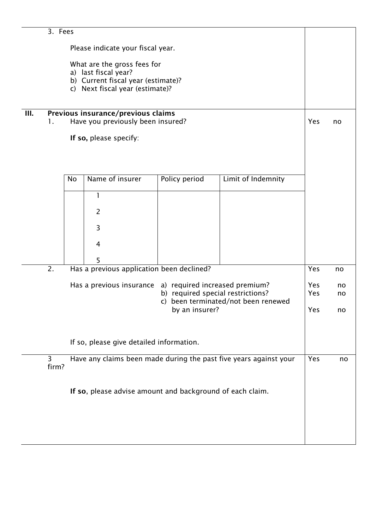|    | 3. Fees                                                                                                                                      |                                                                     |                                                |                                   |     |     |          |
|----|----------------------------------------------------------------------------------------------------------------------------------------------|---------------------------------------------------------------------|------------------------------------------------|-----------------------------------|-----|-----|----------|
|    | Please indicate your fiscal year.                                                                                                            |                                                                     |                                                |                                   |     |     |          |
|    |                                                                                                                                              |                                                                     | What are the gross fees for                    |                                   |     |     |          |
|    |                                                                                                                                              |                                                                     | a) last fiscal year?                           |                                   |     |     |          |
|    | b) Current fiscal year (estimate)?<br>c) Next fiscal year (estimate)?                                                                        |                                                                     |                                                |                                   |     |     |          |
|    |                                                                                                                                              |                                                                     |                                                |                                   |     |     |          |
| Ш. | Previous insurance/previous claims<br>Have you previously been insured?<br>1.                                                                |                                                                     |                                                |                                   | Yes | no  |          |
|    | If so, please specify:                                                                                                                       |                                                                     |                                                |                                   |     |     |          |
|    |                                                                                                                                              |                                                                     |                                                |                                   |     |     |          |
|    |                                                                                                                                              | Name of insurer<br>Limit of Indemnity<br><b>No</b><br>Policy period |                                                |                                   |     |     |          |
|    |                                                                                                                                              |                                                                     |                                                |                                   |     |     |          |
|    |                                                                                                                                              |                                                                     |                                                |                                   |     |     |          |
|    |                                                                                                                                              |                                                                     |                                                |                                   |     |     |          |
|    |                                                                                                                                              |                                                                     | $\overline{2}$                                 |                                   |     |     |          |
|    |                                                                                                                                              |                                                                     | 3                                              |                                   |     |     |          |
|    |                                                                                                                                              |                                                                     | $\overline{4}$                                 |                                   |     |     |          |
|    |                                                                                                                                              |                                                                     |                                                |                                   |     |     |          |
|    | 2.                                                                                                                                           |                                                                     | 5<br>Has a previous application been declined? |                                   |     | Yes | no       |
|    | Has a previous insurance a) required increased premium?                                                                                      |                                                                     |                                                |                                   | Yes |     |          |
|    |                                                                                                                                              |                                                                     |                                                | b) required special restrictions? |     | Yes | no<br>no |
|    |                                                                                                                                              | c) been terminated/not been renewed                                 |                                                | Yes                               | no  |     |          |
|    | by an insurer?                                                                                                                               |                                                                     |                                                |                                   |     |     |          |
|    |                                                                                                                                              |                                                                     |                                                |                                   |     |     |          |
|    | If so, please give detailed information.                                                                                                     |                                                                     |                                                |                                   |     |     |          |
|    | Have any claims been made during the past five years against your<br>3<br>firm?<br>If so, please advise amount and background of each claim. |                                                                     |                                                |                                   | Yes | no  |          |
|    |                                                                                                                                              |                                                                     |                                                |                                   |     |     |          |
|    |                                                                                                                                              |                                                                     |                                                |                                   |     |     |          |
|    |                                                                                                                                              |                                                                     |                                                |                                   |     |     |          |
|    |                                                                                                                                              |                                                                     |                                                |                                   |     |     |          |
|    |                                                                                                                                              |                                                                     |                                                |                                   |     |     |          |
|    |                                                                                                                                              |                                                                     |                                                |                                   |     |     |          |